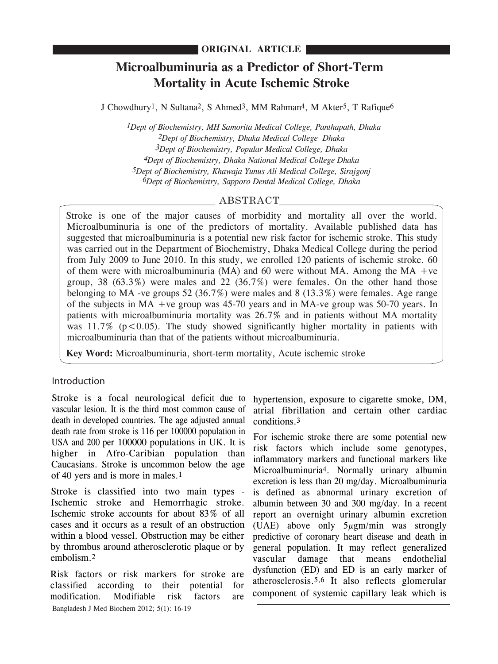# **Microalbuminuria as a Predictor of Short-Term Mortality in Acute Ischemic Stroke**

J Chowdhury<sup>1</sup>, N Sultana<sup>2</sup>, S Ahmed<sup>3</sup>, MM Rahman<sup>4</sup>, M Akter<sup>5</sup>, T Rafique<sup>6</sup>

 *1Dept of Biochemistry, MH Samorita Medical College, Panthapath, Dhaka 2Dept of Biochemistry, Dhaka Medical College Dhaka 3Dept of Biochemistry, Popular Medical College, Dhaka 4Dept of Biochemistry, Dhaka National Medical College Dhaka 5Dept of Biochemistry, Khawaja Yunus Ali Medical College, Sirajgonj 6Dept of Biochemistry, Sapporo Dental Medical College, Dhaka*

# ABSTRACT

Stroke is one of the major causes of morbidity and mortality all over the world. Microalbuminuria is one of the predictors of mortality. Available published data has suggested that microalbuminuria is a potential new risk factor for ischemic stroke. This study was carried out in the Department of Biochemistry, Dhaka Medical College during the period from July 2009 to June 2010. In this study, we enrolled 120 patients of ischemic stroke. 60 of them were with microalbuminuria (MA) and 60 were without MA. Among the MA +ve group,  $38$  ( $63.3\%$ ) were males and  $22$  ( $36.7\%$ ) were females. On the other hand those belonging to MA -ve groups 52 (36.7%) were males and 8 (13.3%) were females. Age range of the subjects in MA +ve group was 45-70 years and in MA-ve group was 50-70 years. In patients with microalbuminuria mortality was 26.7% and in patients without MA mortality was  $11.7\%$  ( $p < 0.05$ ). The study showed significantly higher mortality in patients with microalbuminuria than that of the patients without microalbuminuria.

**Key Word:** Microalbuminuria, short-term mortality, Acute ischemic stroke

## Introduction

Stroke is a focal neurological deficit due to vascular lesion. It is the third most common cause of death in developed countries. The age adjusted annual death rate from stroke is 116 per 100000 population in USA and 200 per 100000 populations in UK. It is higher in Afro-Caribian population than Caucasians. Stroke is uncommon below the age of 40 yers and is more in males.1

Stroke is classified into two main types - Ischemic stroke and Hemorrhagic stroke. Ischemic stroke accounts for about 83% of all cases and it occurs as a result of an obstruction within a blood vessel. Obstruction may be either by thrombus around atherosclerotic plaque or by embolism.2

Bangladesh J Med Biochem 2012; 5(1): 16-19 Risk factors or risk markers for stroke are classified according to their potential for modification. Modifiable risk factors are

hypertension, exposure to cigarette smoke, DM, atrial fibrillation and certain other cardiac conditions.3

For ischemic stroke there are some potential new risk factors which include some genotypes, inflammatory markers and functional markers like Microalbuminuria4. Normally urinary albumin excretion is less than 20 mg/day. Microalbuminuria is defined as abnormal urinary excretion of albumin between 30 and 300 mg/day. In a recent report an overnight urinary albumin excretion (UAE) above only 5µgm/min was strongly predictive of coronary heart disease and death in general population. It may reflect generalized vascular damage that means endothelial dysfunction (ED) and ED is an early marker of atherosclerosis.5,6 It also reflects glomerular component of systemic capillary leak which is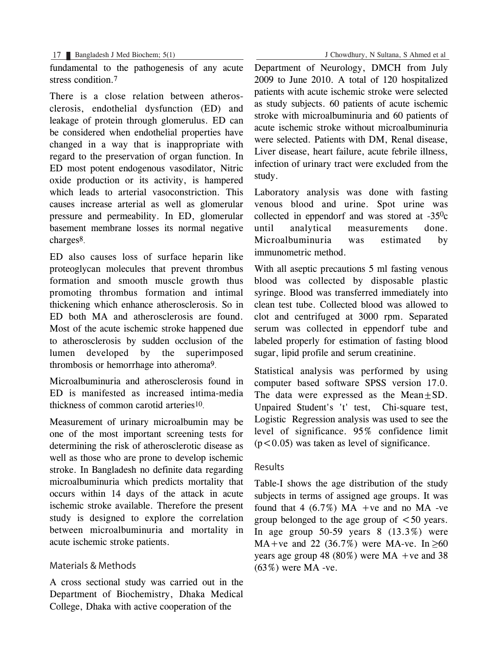fundamental to the pathogenesis of any acute stress condition.7

There is a close relation between atherosclerosis, endothelial dysfunction (ED) and leakage of protein through glomerulus. ED can be considered when endothelial properties have changed in a way that is inappropriate with regard to the preservation of organ function. In ED most potent endogenous vasodilator, Nitric oxide production or its activity, is hampered which leads to arterial vasoconstriction. This causes increase arterial as well as glomerular pressure and permeability. In ED, glomerular basement membrane losses its normal negative charges8.

ED also causes loss of surface heparin like proteoglycan molecules that prevent thrombus formation and smooth muscle growth thus promoting thrombus formation and intimal thickening which enhance atherosclerosis. So in ED both MA and atherosclerosis are found. Most of the acute ischemic stroke happened due to atherosclerosis by sudden occlusion of the lumen developed by the superimposed thrombosis or hemorrhage into atheroma9.

Microalbuminuria and atherosclerosis found in ED is manifested as increased intima-media thickness of common carotid arteries10.

Measurement of urinary microalbumin may be one of the most important screening tests for determining the risk of atherosclerotic disease as well as those who are prone to develop ischemic stroke. In Bangladesh no definite data regarding microalbuminuria which predicts mortality that occurs within 14 days of the attack in acute ischemic stroke available. Therefore the present study is designed to explore the correlation between microalbuminuria and mortality in acute ischemic stroke patients.

## Materials & Methods

A cross sectional study was carried out in the Department of Biochemistry, Dhaka Medical College, Dhaka with active cooperation of the

Department of Neurology, DMCH from July 2009 to June 2010. A total of 120 hospitalized patients with acute ischemic stroke were selected as study subjects. 60 patients of acute ischemic stroke with microalbuminuria and 60 patients of acute ischemic stroke without microalbuminuria were selected. Patients with DM, Renal disease, Liver disease, heart failure, acute febrile illness, infection of urinary tract were excluded from the study.

Laboratory analysis was done with fasting venous blood and urine. Spot urine was collected in eppendorf and was stored at  $-35^\circ$ c until analytical measurements done. Microalbuminuria was estimated by immunometric method.

With all aseptic precautions 5 ml fasting venous blood was collected by disposable plastic syringe. Blood was transferred immediately into clean test tube. Collected blood was allowed to clot and centrifuged at 3000 rpm. Separated serum was collected in eppendorf tube and labeled properly for estimation of fasting blood sugar, lipid profile and serum creatinine.

Statistical analysis was performed by using computer based software SPSS version 17.0. The data were expressed as the Mean+SD. Unpaired Student's 't' test, Chi-square test, Logistic Regression analysis was used to see the level of significance. 95% confidence limit  $(p<0.05)$  was taken as level of significance.

## Results

Table-I shows the age distribution of the study subjects in terms of assigned age groups. It was found that 4  $(6.7\%)$  MA +ve and no MA -ve group belonged to the age group of  $\leq 50$  years. In age group  $50-59$  years  $8(13.3\%)$  were  $MA+ve$  and 22 (36.7%) were MA-ve. In  $\geq 60$ years age group 48 (80%) were  $MA +ve$  and 38 (63%) were MA -ve.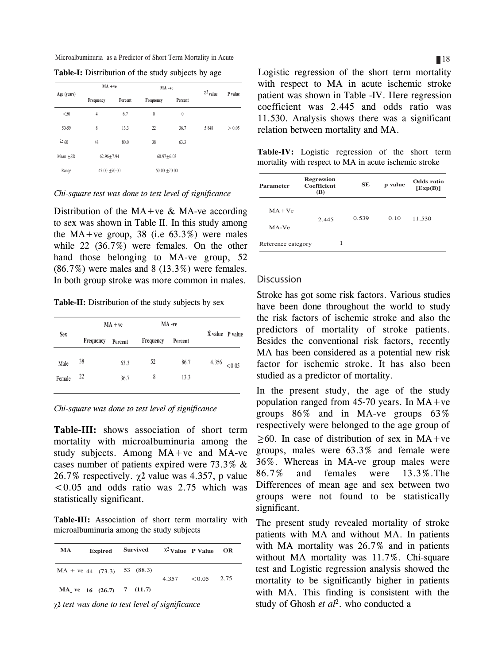Microalbuminuria as a Predictor of Short Term Mortality in Acute

|  | <b>Table-I:</b> Distribution of the study subjects by age |
|--|-----------------------------------------------------------|

| Age (years)   | $MA + ve$        |         | MA-ve            |                  | $\chi^2$ value | P value |
|---------------|------------------|---------|------------------|------------------|----------------|---------|
|               | Frequency        | Percent | Frequency        | Percent          |                |         |
| < 50          | $\overline{4}$   | 6.7     | $\theta$         | $\boldsymbol{0}$ |                |         |
| 50-59         | 8                | 13.3    | 22               | 36.7             | 5.848          | > 0.05  |
| $\geq 60$     | 48               | 80.0    | 38               | 63.3             |                |         |
| Mean $\pm$ SD | $62.96 \pm 7.94$ |         | $60.97 \pm 6.03$ |                  |                |         |
| Range         | $45.00 + 70.00$  |         | $50.00 + 70.00$  |                  |                |         |

*Chi-square test was done to test level of significance*

Distribution of the  $MA+ve & MA-ve$  according to sex was shown in Table II. In this study among the MA+ve group, 38 (i.e  $63.3\%$ ) were males while 22 (36.7%) were females. On the other hand those belonging to MA-ve group, 52  $(86.7%)$  were males and  $8(13.3%)$  were females. In both group stroke was more common in males.

**Table-II:** Distribution of the study subjects by sex

| $MA + ve$ |         | MA-ve     |         |       |                         |
|-----------|---------|-----------|---------|-------|-------------------------|
| Frequency | Percent | Frequency | Percent |       |                         |
| 38        | 63.3    | 52        | 86.7    | 4.356 | < 0.05                  |
| 22        | 36.7    | 8         | 13.3    |       |                         |
|           |         |           |         |       | $\hat{X}$ value P value |

*Chi-square was done to test level of significance*

**Table-III:** shows association of short term mortality with microalbuminuria among the study subjects. Among MA+ve and MA-ve cases number of patients expired were 73.3% & 26.7% respectively.  $\chi$ 2 value was 4.357, p value  $< 0.05$  and odds ratio was 2.75 which was statistically significant.

**Table-III:** Association of short term mortality with microalbuminuria among the study subjects

| MA                            | <b>Expired</b> | <b>Survived</b> |       | $\chi^2$ Value P Value | <b>OR</b> |
|-------------------------------|----------------|-----------------|-------|------------------------|-----------|
| $MA + ve 44$ (73.3) 53 (88.3) |                |                 | 4.357 | < 0.05                 | 2.75      |
| $MA$ ve 16 (26.7)             |                | 7(11.7)         |       |                        |           |

c**<sup>2</sup>** *test was done to test level of significance*

Logistic regression of the short term mortality with respect to MA in acute ischemic stroke patient was shown in Table -IV. Here regression coefficient was 2.445 and odds ratio was 11.530. Analysis shows there was a significant relation between mortality and MA.

**Table-IV:** Logistic regression of the short term mortality with respect to MA in acute ischemic stroke

| Parameter          | <b>Regression</b><br><b>Coefficient</b><br>(B) | SE    | p value | Odds ratio<br>[Exp(B)] |  |
|--------------------|------------------------------------------------|-------|---------|------------------------|--|
| $MA + Ve$<br>MA-Ve | 2.445                                          | 0.539 | 0.10    | 11.530                 |  |
| Reference category | 1                                              |       |         |                        |  |

#### Discussion

Stroke has got some risk factors. Various studies have been done throughout the world to study the risk factors of ischemic stroke and also the predictors of mortality of stroke patients. Besides the conventional risk factors, recently MA has been considered as a potential new risk factor for ischemic stroke. It has also been studied as a predictor of mortality.

In the present study, the age of the study population ranged from 45-70 years. In  $MA+ve$ groups 86% and in MA-ve groups 63% respectively were belonged to the age group of  $\geq 60$ . In case of distribution of sex in MA+ve groups, males were 63.3% and female were 36%. Whereas in MA-ve group males were 86.7% and females were 13.3%.The Differences of mean age and sex between two groups were not found to be statistically significant.

The present study revealed mortality of stroke patients with MA and without MA. In patients with MA mortality was 26.7% and in patients without MA mortality was 11.7%. Chi-square test and Logistic regression analysis showed the mortality to be significantly higher in patients with MA. This finding is consistent with the study of Ghosh *et al* 2. who conducted a